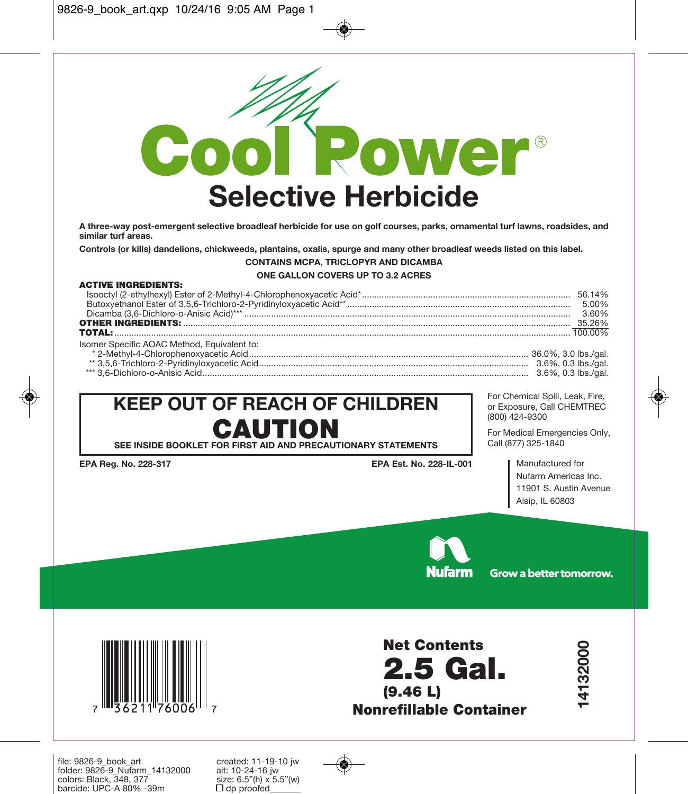

**A three-way post-emergent selective broadleaf herbicide for use on golf courses, parks, ornamental turf lawns, roadsides, and similar turf areas.**

**Controls (or kills) dandelions, chickweeds, plantains, oxalis, spurge and many other broadleaf weeds listed on this label.**

#### **CONTAINS MCPA, TRICLOPYR AND DICAMBA**

## **ONE GALLON COVERS UP TO 3.2 ACRES**

#### **ACTIVE INGREDIENTS:**

| Isomer Specific AOAC Method. Equivalent to: |  |
|---------------------------------------------|--|
|                                             |  |
|                                             |  |
|                                             |  |

# **KEEP OUT OF REACH OF CHILDREN CAUTION SEE INSIDE BOOKLET FOR FIRST AID AND PRECAUTIONARY STATEMENTS**

**EPA Reg. No. 228-317 EPA Est. No. 228-IL-001**

For Chemical Spill, Leak, Fire, or Exposure, Call CHEMTREC (800) 424-9300

For Medical Emergencies Only, Call (877) 325-1840

> Manufactured for Nufarm Americas Inc. 11901 S. Austin Avenue Alsip, IL 60803



Grow a better tomorrow.

**14132000**

14132000



**Net Contents 2.5 Gal. (9.46 L) Nonrefillable Container**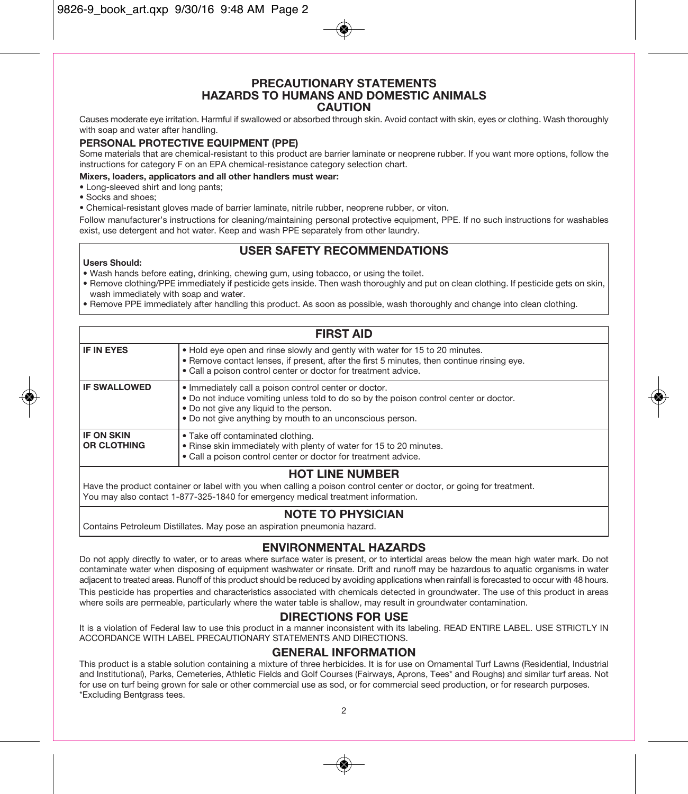#### **PRECAUTIONARY STATEMENTS HAZARDS TO HUMANS AND DOMESTIC ANIMALS CAUTION**

Causes moderate eye irritation. Harmful if swallowed or absorbed through skin. Avoid contact with skin, eyes or clothing. Wash thoroughly with soap and water after handling.

#### **PERSONAL PROTECTIVE EQUIPMENT (PPE)**

Some materials that are chemical-resistant to this product are barrier laminate or neoprene rubber. If you want more options, follow the instructions for category F on an EPA chemical-resistance category selection chart.

#### **Mixers, loaders, applicators and all other handlers must wear:**

- Long-sleeved shirt and long pants;
- Socks and shoes;
- Chemical-resistant gloves made of barrier laminate, nitrile rubber, neoprene rubber, or viton.

Follow manufacturer's instructions for cleaning/maintaining personal protective equipment, PPE. If no such instructions for washables exist, use detergent and hot water. Keep and wash PPE separately from other laundry.

## **USER SAFETY RECOMMENDATIONS**

#### **Users Should:**

- Wash hands before eating, drinking, chewing gum, using tobacco, or using the toilet.
- Remove clothing/PPE immediately if pesticide gets inside. Then wash thoroughly and put on clean clothing. If pesticide gets on skin, wash immediately with soap and water.
- Remove PPE immediately after handling this product. As soon as possible, wash thoroughly and change into clean clothing.

| <b>FIRST AID</b>                        |                                                                                                                                                                                                                                                        |  |
|-----------------------------------------|--------------------------------------------------------------------------------------------------------------------------------------------------------------------------------------------------------------------------------------------------------|--|
| IF IN EYES                              | • Hold eye open and rinse slowly and gently with water for 15 to 20 minutes.<br>. Remove contact lenses, if present, after the first 5 minutes, then continue rinsing eye.<br>• Call a poison control center or doctor for treatment advice.           |  |
| <b>IF SWALLOWED</b>                     | · Immediately call a poison control center or doctor.<br>. Do not induce vomiting unless told to do so by the poison control center or doctor.<br>. Do not give any liquid to the person.<br>• Do not give anything by mouth to an unconscious person. |  |
| <b>IF ON SKIN</b><br><b>OR CLOTHING</b> | • Take off contaminated clothing.<br>. Rinse skin immediately with plenty of water for 15 to 20 minutes.<br>. Call a poison control center or doctor for treatment advice.                                                                             |  |
| <b>HOT LINE NUMBER</b>                  |                                                                                                                                                                                                                                                        |  |

Have the product container or label with you when calling a poison control center or doctor, or going for treatment. You may also contact 1-877-325-1840 for emergency medical treatment information.

# **NOTE TO PHYSICIAN**

Contains Petroleum Distillates. May pose an aspiration pneumonia hazard.

# **ENVIRONMENTAL HAZARDS**

Do not apply directly to water, or to areas where surface water is present, or to intertidal areas below the mean high water mark. Do not contaminate water when disposing of equipment washwater or rinsate. Drift and runoff may be hazardous to aquatic organisms in water adjacent to treated areas. Runoff of this product should be reduced by avoiding applications when rainfall is forecasted to occur with 48 hours. This pesticide has properties and characteristics associated with chemicals detected in groundwater. The use of this product in areas where soils are permeable, particularly where the water table is shallow, may result in groundwater contamination.

## **DIRECTIONS FOR USE**

It is a violation of Federal law to use this product in a manner inconsistent with its labeling. READ ENTIRE LABEL. USE STRICTLY IN ACCORDANCE WITH LABEL PRECAUTIONARY STATEMENTS AND DIRECTIONS.

#### **GENERAL INFORMATION**

This product is a stable solution containing a mixture of three herbicides. It is for use on Ornamental Turf Lawns (Residential, Industrial and Institutional), Parks, Cemeteries, Athletic Fields and Golf Courses (Fairways, Aprons, Tees\* and Roughs) and similar turf areas. Not for use on turf being grown for sale or other commercial use as sod, or for commercial seed production, or for research purposes. \*Excluding Bentgrass tees.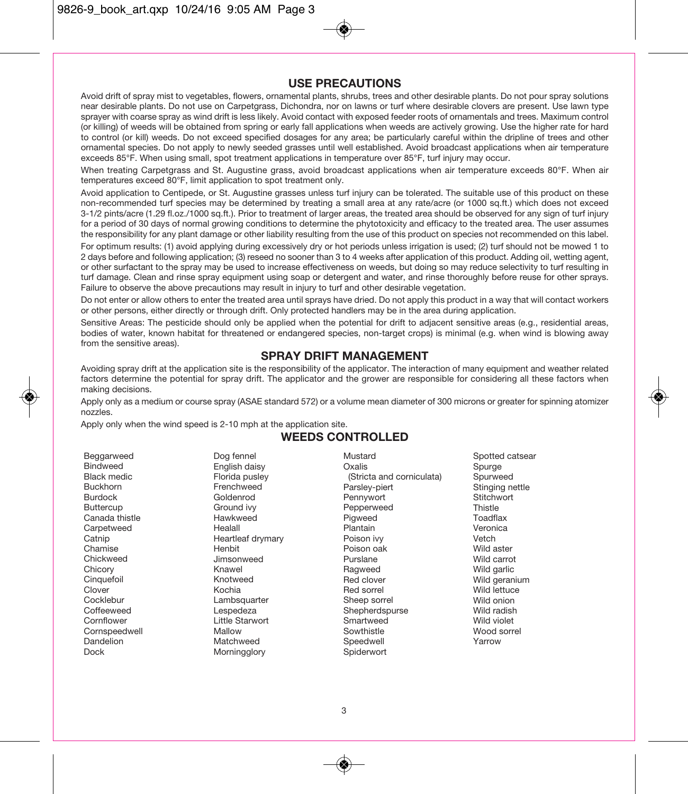#### **USE PRECAUTIONS**

Avoid drift of spray mist to vegetables, flowers, ornamental plants, shrubs, trees and other desirable plants. Do not pour spray solutions near desirable plants. Do not use on Carpetgrass, Dichondra, nor on lawns or turf where desirable clovers are present. Use lawn type sprayer with coarse spray as wind drift is less likely. Avoid contact with exposed feeder roots of ornamentals and trees. Maximum control (or killing) of weeds will be obtained from spring or early fall applications when weeds are actively growing. Use the higher rate for hard to control (or kill) weeds. Do not exceed specified dosages for any area; be particularly careful within the dripline of trees and other ornamental species. Do not apply to newly seeded grasses until well established. Avoid broadcast applications when air temperature exceeds 85°F. When using small, spot treatment applications in temperature over 85°F, turf injury may occur.

When treating Carpetgrass and St. Augustine grass, avoid broadcast applications when air temperature exceeds 80°F. When air temperatures exceed 80°F, limit application to spot treatment only.

Avoid application to Centipede, or St. Augustine grasses unless turf injury can be tolerated. The suitable use of this product on these non-recommended turf species may be determined by treating a small area at any rate/acre (or 1000 sq.ft.) which does not exceed 3-1/2 pints/acre (1.29 fl.oz./1000 sq.ft.). Prior to treatment of larger areas, the treated area should be observed for any sign of turf injury for a period of 30 days of normal growing conditions to determine the phytotoxicity and efficacy to the treated area. The user assumes the responsibility for any plant damage or other liability resulting from the use of this product on species not recommended on this label.

For optimum results: (1) avoid applying during excessively dry or hot periods unless irrigation is used; (2) turf should not be mowed 1 to 2 days before and following application; (3) reseed no sooner than 3 to 4 weeks after application of this product. Adding oil, wetting agent, or other surfactant to the spray may be used to increase effectiveness on weeds, but doing so may reduce selectivity to turf resulting in turf damage. Clean and rinse spray equipment using soap or detergent and water, and rinse thoroughly before reuse for other sprays. Failure to observe the above precautions may result in injury to turf and other desirable vegetation.

Do not enter or allow others to enter the treated area until sprays have dried. Do not apply this product in a way that will contact workers or other persons, either directly or through drift. Only protected handlers may be in the area during application.

Sensitive Areas: The pesticide should only be applied when the potential for drift to adjacent sensitive areas (e.g., residential areas, bodies of water, known habitat for threatened or endangered species, non-target crops) is minimal (e.g. when wind is blowing away from the sensitive areas).

#### **SPRAY DRIFT MANAGEMENT**

Avoiding spray drift at the application site is the responsibility of the applicator. The interaction of many equipment and weather related factors determine the potential for spray drift. The applicator and the grower are responsible for considering all these factors when making decisions.

Apply only as a medium or course spray (ASAE standard 572) or a volume mean diameter of 300 microns or greater for spinning atomizer nozzles.

Apply only when the wind speed is 2-10 mph at the application site.

#### **WEEDS CONTROLLED**

| Dog fennel<br>Beggarweed<br><b>Bindweed</b><br>English daisy<br><b>Black medic</b><br>Florida pusley<br><b>Buckhorn</b><br>Frenchweed<br><b>Burdock</b><br>Goldenrod<br><b>Buttercup</b><br>Ground ivy<br>Canada thistle<br>Hawkweed<br>Carpetweed<br>Healall<br>Catnip<br>Heartleaf drymary<br>Chamise<br>Henbit<br>Chickweed<br>Jimsonweed<br>Chicory<br>Knawel<br>Cinquefoil<br>Knotweed<br>Clover<br>Kochia<br>Cocklebur<br>Lambsquarter<br>Coffeeweed<br>Lespedeza<br>Cornflower<br>Little Starwort<br>Cornspeedwell<br>Mallow<br>Dandelion<br>Matchweed<br>Dock<br>Morningglory | Mustard<br>Oxalis<br>(Stricta and corniculata)<br>Parsley-piert<br>Pennywort<br>Pepperweed<br>Pigweed<br>Plantain<br>Poison ivy<br>Poison oak<br>Purslane<br>Ragweed<br>Red clover<br>Red sorrel<br>Sheep sorrel<br>Shepherdspurse<br>Smartweed<br>Sowthistle<br>Speedwell<br>Spiderwort | Spotted catsear<br>Spurge<br>Spurweed<br>Stinging nettle<br>Stitchwort<br>Thistle<br>Toadflax<br>Veronica<br>Vetch<br>Wild aster<br>Wild carrot<br>Wild garlic<br>Wild geranium<br>Wild lettuce<br>Wild onion<br>Wild radish<br>Wild violet<br>Wood sorrel<br>Yarrow |
|---------------------------------------------------------------------------------------------------------------------------------------------------------------------------------------------------------------------------------------------------------------------------------------------------------------------------------------------------------------------------------------------------------------------------------------------------------------------------------------------------------------------------------------------------------------------------------------|------------------------------------------------------------------------------------------------------------------------------------------------------------------------------------------------------------------------------------------------------------------------------------------|----------------------------------------------------------------------------------------------------------------------------------------------------------------------------------------------------------------------------------------------------------------------|
|---------------------------------------------------------------------------------------------------------------------------------------------------------------------------------------------------------------------------------------------------------------------------------------------------------------------------------------------------------------------------------------------------------------------------------------------------------------------------------------------------------------------------------------------------------------------------------------|------------------------------------------------------------------------------------------------------------------------------------------------------------------------------------------------------------------------------------------------------------------------------------------|----------------------------------------------------------------------------------------------------------------------------------------------------------------------------------------------------------------------------------------------------------------------|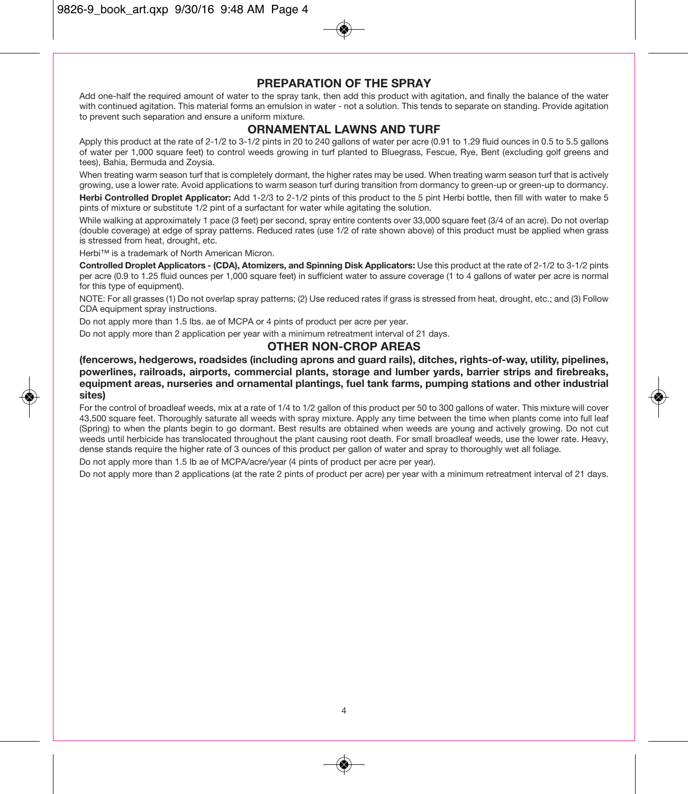## **PREPARATION OF THE SPRAY**

Add one-half the required amount of water to the spray tank, then add this product with agitation, and finally the balance of the water with continued agitation. This material forms an emulsion in water - not a solution. This tends to separate on standing. Provide agitation to prevent such separation and ensure a uniform mixture.

#### **ORNAMENTAL LAWNS AND TURF**

Apply this product at the rate of 2-1/2 to 3-1/2 pints in 20 to 240 gallons of water per acre (0.91 to 1.29 fluid ounces in 0.5 to 5.5 gallons of water per 1,000 square feet) to control weeds growing in turf planted to Bluegrass, Fescue, Rye, Bent (excluding golf greens and tees), Bahia, Bermuda and Zoysia.

When treating warm season turf that is completely dormant, the higher rates may be used. When treating warm season turf that is actively growing, use a lower rate. Avoid applications to warm season turf during transition from dormancy to green-up or green-up to dormancy.

**Herbi Controlled Droplet Applicator:** Add 1-2/3 to 2-1/2 pints of this product to the 5 pint Herbi bottle, then fill with water to make 5 pints of mixture or substitute 1/2 pint of a surfactant for water while agitating the solution.

While walking at approximately 1 pace (3 feet) per second, spray entire contents over 33,000 square feet (3/4 of an acre). Do not overlap (double coverage) at edge of spray patterns. Reduced rates (use 1/2 of rate shown above) of this product must be applied when grass is stressed from heat, drought, etc.

Herbi™ is a trademark of North American Micron.

**Controlled Droplet Applicators - (CDA), Atomizers, and Spinning Disk Applicators:** Use this product at the rate of 2-1/2 to 3-1/2 pints per acre (0.9 to 1.25 fluid ounces per 1,000 square feet) in sufficient water to assure coverage (1 to 4 gallons of water per acre is normal for this type of equipment).

NOTE: For all grasses (1) Do not overlap spray patterns; (2) Use reduced rates if grass is stressed from heat, drought, etc.; and (3) Follow CDA equipment spray instructions.

Do not apply more than 1.5 lbs. ae of MCPA or 4 pints of product per acre per year.

Do not apply more than 2 application per year with a minimum retreatment interval of 21 days.

#### **OTHER NON-CROP AREAS**

**(fencerows, hedgerows, roadsides (including aprons and guard rails), ditches, rights-of-way, utility, pipelines, powerlines, railroads, airports, commercial plants, storage and lumber yards, barrier strips and firebreaks, equipment areas, nurseries and ornamental plantings, fuel tank farms, pumping stations and other industrial sites)**

For the control of broadleaf weeds, mix at a rate of 1/4 to 1/2 gallon of this product per 50 to 300 gallons of water. This mixture will cover 43,500 square feet. Thoroughly saturate all weeds with spray mixture. Apply any time between the time when plants come into full leaf (Spring) to when the plants begin to go dormant. Best results are obtained when weeds are young and actively growing. Do not cut weeds until herbicide has translocated throughout the plant causing root death. For small broadleaf weeds, use the lower rate. Heavy, dense stands require the higher rate of 3 ounces of this product per gallon of water and spray to thoroughly wet all foliage.

Do not apply more than 1.5 lb ae of MCPA/acre/year (4 pints of product per acre per year).

Do not apply more than 2 applications (at the rate 2 pints of product per acre) per year with a minimum retreatment interval of 21 days.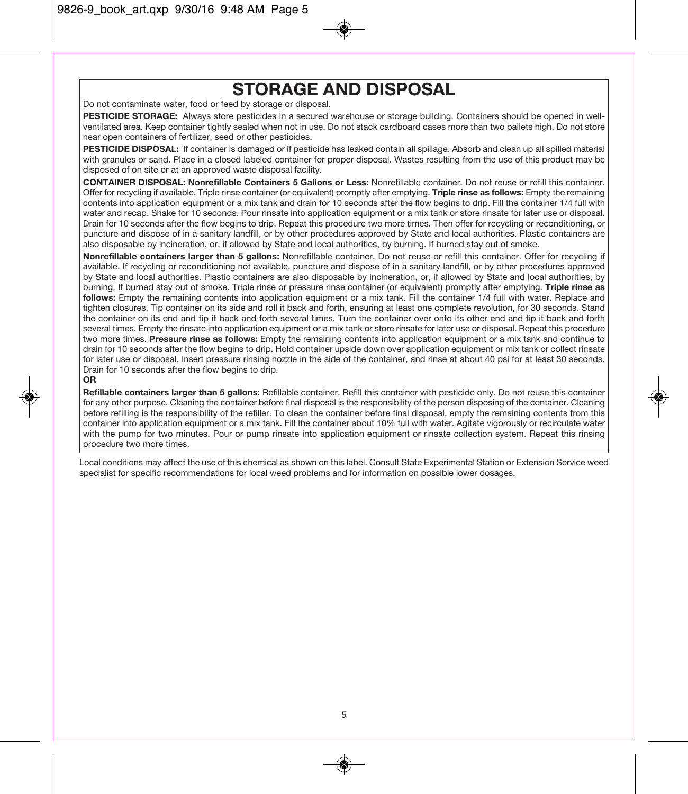# **STORAGE AND DISPOSAL**

Do not contaminate water, food or feed by storage or disposal.

**PESTICIDE STORAGE:** Always store pesticides in a secured warehouse or storage building. Containers should be opened in wellventilated area. Keep container tightly sealed when not in use. Do not stack cardboard cases more than two pallets high. Do not store near open containers of fertilizer, seed or other pesticides.

**PESTICIDE DISPOSAL:** If container is damaged or if pesticide has leaked contain all spillage. Absorb and clean up all spilled material with granules or sand. Place in a closed labeled container for proper disposal. Wastes resulting from the use of this product may be disposed of on site or at an approved waste disposal facility.

**CONTAINER DISPOSAL: Nonrefillable Containers 5 Gallons or Less:** Nonrefillable container. Do not reuse or refill this container. Offer for recycling if available. Triple rinse container (or equivalent) promptly after emptying. **Triple rinse as follows:** Empty the remaining contents into application equipment or a mix tank and drain for 10 seconds after the flow begins to drip. Fill the container 1/4 full with water and recap. Shake for 10 seconds. Pour rinsate into application equipment or a mix tank or store rinsate for later use or disposal. Drain for 10 seconds after the flow begins to drip. Repeat this procedure two more times. Then offer for recycling or reconditioning, or puncture and dispose of in a sanitary landfill, or by other procedures approved by State and local authorities. Plastic containers are also disposable by incineration, or, if allowed by State and local authorities, by burning. If burned stay out of smoke.

**Nonrefillable containers larger than 5 gallons:** Nonrefillable container. Do not reuse or refill this container. Offer for recycling if available. If recycling or reconditioning not available, puncture and dispose of in a sanitary landfill, or by other procedures approved by State and local authorities. Plastic containers are also disposable by incineration, or, if allowed by State and local authorities, by burning. If burned stay out of smoke. Triple rinse or pressure rinse container (or equivalent) promptly after emptying. **Triple rinse as** follows: Empty the remaining contents into application equipment or a mix tank. Fill the container 1/4 full with water. Replace and tighten closures. Tip container on its side and roll it back and forth, ensuring at least one complete revolution, for 30 seconds. Stand the container on its end and tip it back and forth several times. Turn the container over onto its other end and tip it back and forth several times. Empty the rinsate into application equipment or a mix tank or store rinsate for later use or disposal. Repeat this procedure two more times. **Pressure rinse as follows:** Empty the remaining contents into application equipment or a mix tank and continue to drain for 10 seconds after the flow begins to drip. Hold container upside down over application equipment or mix tank or collect rinsate for later use or disposal. Insert pressure rinsing nozzle in the side of the container, and rinse at about 40 psi for at least 30 seconds. Drain for 10 seconds after the flow begins to drip.

#### **OR**

**Refillable containers larger than 5 gallons:** Refillable container. Refill this container with pesticide only. Do not reuse this container for any other purpose. Cleaning the container before final disposal is the responsibility of the person disposing of the container. Cleaning before refilling is the responsibility of the refiller. To clean the container before final disposal, empty the remaining contents from this container into application equipment or a mix tank. Fill the container about 10% full with water. Agitate vigorously or recirculate water with the pump for two minutes. Pour or pump rinsate into application equipment or rinsate collection system. Repeat this rinsing procedure two more times.

Local conditions may affect the use of this chemical as shown on this label. Consult State Experimental Station or Extension Service weed specialist for specific recommendations for local weed problems and for information on possible lower dosages.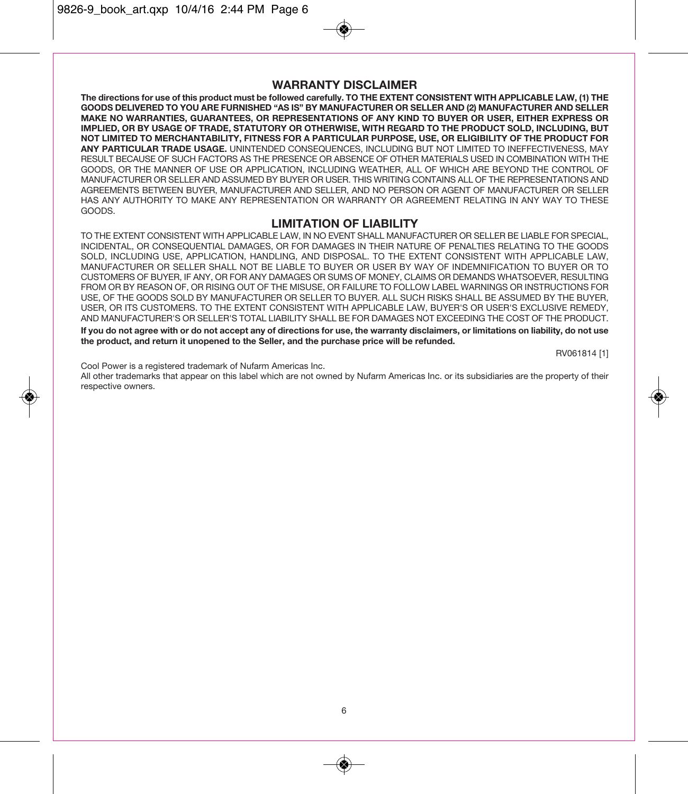## **WARRANTY DISCLAIMER**

**The directions for use of this product must be followed carefully. TO THE EXTENT CONSISTENT WITH APPLICABLE LAW, (1) THE GOODS DELIVERED TO YOU ARE FURNISHED "AS IS" BY MANUFACTURER OR SELLER AND (2) MANUFACTURER AND SELLER MAKE NO WARRANTIES, GUARANTEES, OR REPRESENTATIONS OF ANY KIND TO BUYER OR USER, EITHER EXPRESS OR IMPLIED, OR BY USAGE OF TRADE, STATUTORY OR OTHERWISE, WITH REGARD TO THE PRODUCT SOLD, INCLUDING, BUT NOT LIMITED TO MERCHANTABILITY, FITNESS FOR A PARTICULAR PURPOSE, USE, OR ELIGIBILITY OF THE PRODUCT FOR ANY PARTICULAR TRADE USAGE.** UNINTENDED CONSEQUENCES, INCLUDING BUT NOT LIMITED TO INEFFECTIVENESS, MAY RESULT BECAUSE OF SUCH FACTORS AS THE PRESENCE OR ABSENCE OF OTHER MATERIALS USED IN COMBINATION WITH THE GOODS, OR THE MANNER OF USE OR APPLICATION, INCLUDING WEATHER, ALL OF WHICH ARE BEYOND THE CONTROL OF MANUFACTURER OR SELLER AND ASSUMED BY BUYER OR USER. THIS WRITING CONTAINS ALL OF THE REPRESENTATIONS AND AGREEMENTS BETWEEN BUYER, MANUFACTURER AND SELLER, AND NO PERSON OR AGENT OF MANUFACTURER OR SELLER HAS ANY AUTHORITY TO MAKE ANY REPRESENTATION OR WARRANTY OR AGREEMENT RELATING IN ANY WAY TO THESE GOODS.

#### **LIMITATION OF LIABILITY**

TO THE EXTENT CONSISTENT WITH APPLICABLE LAW, IN NO EVENT SHALL MANUFACTURER OR SELLER BE LIABLE FOR SPECIAL, INCIDENTAL, OR CONSEQUENTIAL DAMAGES, OR FOR DAMAGES IN THEIR NATURE OF PENALTIES RELATING TO THE GOODS SOLD, INCLUDING USE, APPLICATION, HANDLING, AND DISPOSAL. TO THE EXTENT CONSISTENT WITH APPLICABLE LAW, MANUFACTURER OR SELLER SHALL NOT BE LIABLE TO BUYER OR USER BY WAY OF INDEMNIFICATION TO BUYER OR TO CUSTOMERS OF BUYER, IF ANY, OR FOR ANY DAMAGES OR SUMS OF MONEY, CLAIMS OR DEMANDS WHATSOEVER, RESULTING FROM OR BY REASON OF, OR RISING OUT OF THE MISUSE, OR FAILURE TO FOLLOW LABEL WARNINGS OR INSTRUCTIONS FOR USE, OF THE GOODS SOLD BY MANUFACTURER OR SELLER TO BUYER. ALL SUCH RISKS SHALL BE ASSUMED BY THE BUYER, USER, OR ITS CUSTOMERS. TO THE EXTENT CONSISTENT WITH APPLICABLE LAW, BUYER'S OR USER'S EXCLUSIVE REMEDY, AND MANUFACTURER'S OR SELLER'S TOTAL LIABILITY SHALL BE FOR DAMAGES NOT EXCEEDING THE COST OF THE PRODUCT.

**If you do not agree with or do not accept any of directions for use, the warranty disclaimers, or limitations on liability, do not use the product, and return it unopened to the Seller, and the purchase price will be refunded.** 

RV061814 [1]

Cool Power is a registered trademark of Nufarm Americas Inc.

All other trademarks that appear on this label which are not owned by Nufarm Americas Inc. or its subsidiaries are the property of their respective owners.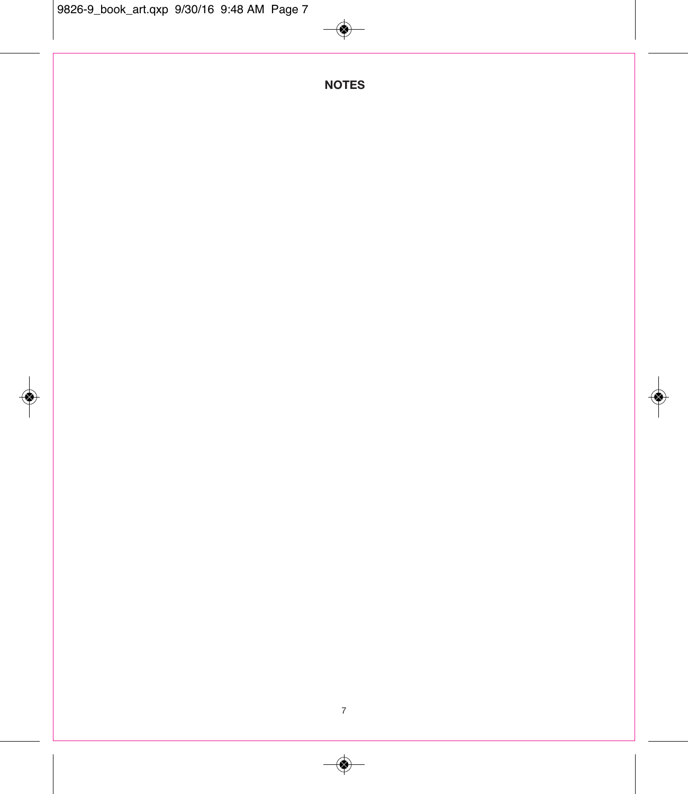# **NOTES**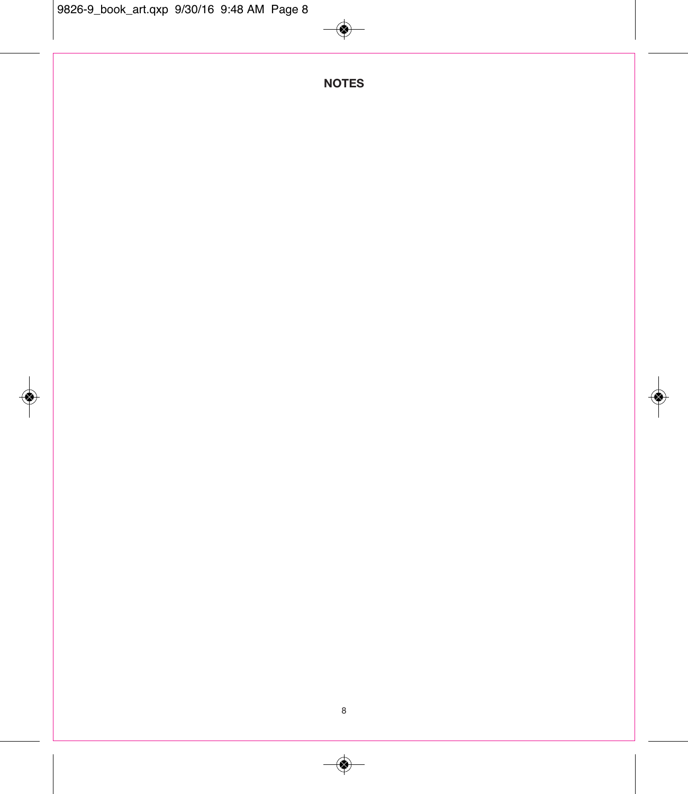# **NOTES**